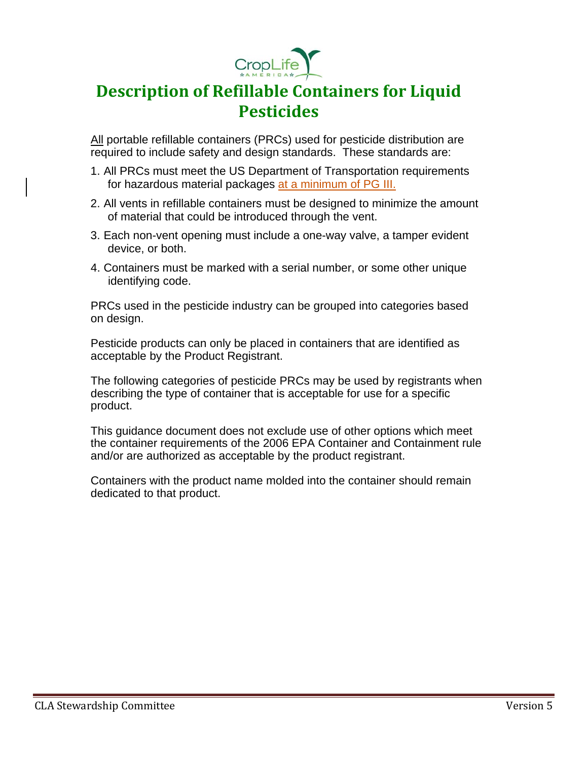

## **Description of Refillable Containers for Liquid Pesticides**

All portable refillable containers (PRCs) used for pesticide distribution are required to include safety and design standards. These standards are:

- 1. All PRCs must meet the US Department of Transportation requirements for hazardous material packages at a minimum of PG III.
- 2. All vents in refillable containers must be designed to minimize the amount of material that could be introduced through the vent.
- 3. Each non-vent opening must include a one-way valve, a tamper evident device, or both.
- 4. Containers must be marked with a serial number, or some other unique identifying code.

PRCs used in the pesticide industry can be grouped into categories based on design.

Pesticide products can only be placed in containers that are identified as acceptable by the Product Registrant.

The following categories of pesticide PRCs may be used by registrants when describing the type of container that is acceptable for use for a specific product.

This guidance document does not exclude use of other options which meet the container requirements of the 2006 EPA Container and Containment rule and/or are authorized as acceptable by the product registrant.

Containers with the product name molded into the container should remain dedicated to that product.